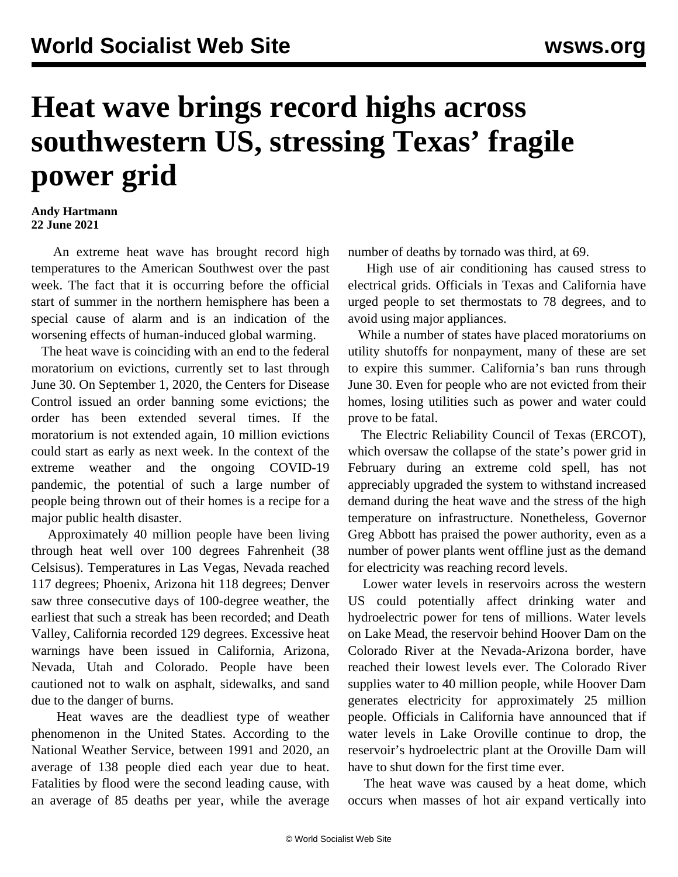## **Heat wave brings record highs across southwestern US, stressing Texas' fragile power grid**

## **Andy Hartmann 22 June 2021**

 An extreme heat wave has brought record high temperatures to the American Southwest over the past week. The fact that it is occurring before the official start of summer in the northern hemisphere has been a special cause of alarm and is an indication of the worsening effects of human-induced global warming.

 The heat wave is coinciding with an end to the federal moratorium on evictions, currently set to last through June 30. On September 1, 2020, the Centers for Disease Control issued an order banning some evictions; the order has been extended several times. If the moratorium is not extended again, 10 million evictions could start as early as next week. In the context of the extreme weather and the ongoing COVID-19 pandemic, the potential of such a large number of people being thrown out of their homes is a recipe for a major public health disaster.

 Approximately 40 million people have been living through heat well over 100 degrees Fahrenheit (38 Celsisus). Temperatures in Las Vegas, Nevada reached 117 degrees; Phoenix, Arizona hit 118 degrees; Denver saw three consecutive days of 100-degree weather, the earliest that such a streak has been recorded; and Death Valley, California recorded 129 degrees. Excessive heat warnings have been issued in California, Arizona, Nevada, Utah and Colorado. People have been cautioned not to walk on asphalt, sidewalks, and sand due to the danger of burns.

 Heat waves are the deadliest type of weather phenomenon in the United States. According to the National Weather Service, between 1991 and 2020, an average of 138 people died each year due to heat. Fatalities by flood were the second leading cause, with an average of 85 deaths per year, while the average number of deaths by tornado was third, at 69.

 High use of air conditioning has caused stress to electrical grids. Officials in Texas and California have urged people to set thermostats to 78 degrees, and to avoid using major appliances.

 While a number of states have placed moratoriums on utility shutoffs for nonpayment, many of these are set to expire this summer. California's ban runs through June 30. Even for people who are not evicted from their homes, losing utilities such as power and water could prove to be fatal.

 The Electric Reliability Council of Texas (ERCOT), which oversaw the collapse of the state's power grid in February during an extreme cold spell, has not appreciably upgraded the system to withstand increased demand during the heat wave and the stress of the high temperature on infrastructure. Nonetheless, Governor Greg Abbott has praised the power authority, even as a number of power plants went offline just as the demand for electricity was reaching record levels.

 Lower water levels in reservoirs across the western US could potentially affect drinking water and hydroelectric power for tens of millions. Water levels on Lake Mead, the reservoir behind Hoover Dam on the Colorado River at the Nevada-Arizona border, have reached their lowest levels ever. The Colorado River supplies water to 40 million people, while Hoover Dam generates electricity for approximately 25 million people. Officials in California have announced that if water levels in Lake Oroville continue to drop, the reservoir's hydroelectric plant at the Oroville Dam will have to shut down for the first time ever.

 The heat wave was caused by a heat dome, which occurs when masses of hot air expand vertically into